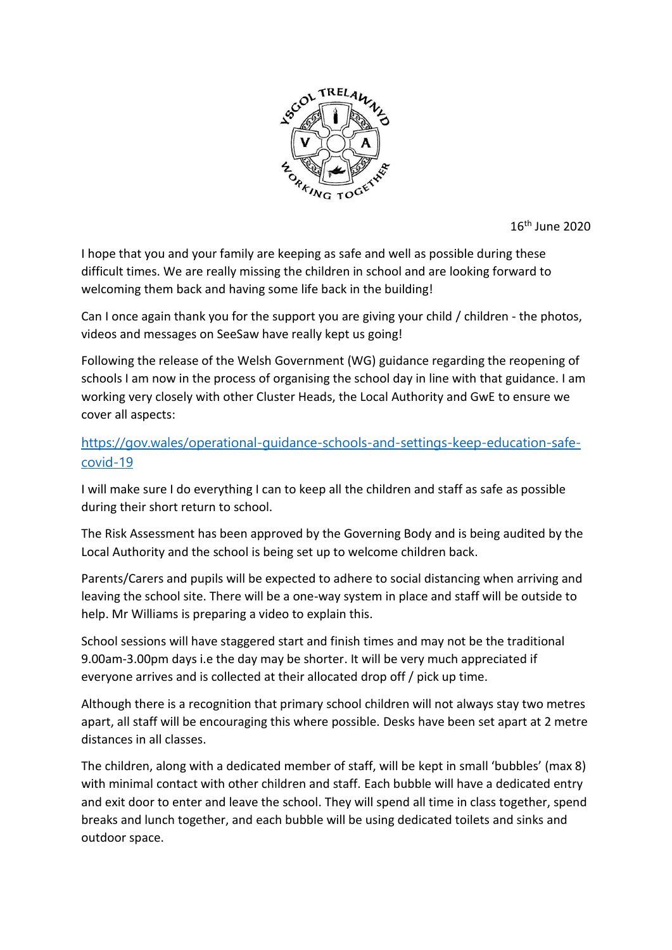

16th June 2020

I hope that you and your family are keeping as safe and well as possible during these difficult times. We are really missing the children in school and are looking forward to welcoming them back and having some life back in the building!

Can I once again thank you for the support you are giving your child / children - the photos, videos and messages on SeeSaw have really kept us going!

Following the release of the Welsh Government (WG) guidance regarding the reopening of schools I am now in the process of organising the school day in line with that guidance. I am working very closely with other Cluster Heads, the Local Authority and GwE to ensure we cover all aspects:

## [https://gov.wales/operational-guidance-schools-and-settings-keep-education-safe](https://eur02.safelinks.protection.outlook.com/?url=https%3A%2F%2Fgov.wales%2Foperational-guidance-schools-and-settings-keep-education-safe-covid-19&data=02%7C01%7Ctrhead%40hwbmail.net%7Cd61110bbaf624034131108d80d451107%7C4f3f0e52b734416494091b601d147993%7C0%7C1%7C637273937582322077&sdata=qzqgZkhZRUPT7HWciYxGpNZEk84OQQxCcRW18iKwCoE%3D&reserved=0)[covid-19](https://eur02.safelinks.protection.outlook.com/?url=https%3A%2F%2Fgov.wales%2Foperational-guidance-schools-and-settings-keep-education-safe-covid-19&data=02%7C01%7Ctrhead%40hwbmail.net%7Cd61110bbaf624034131108d80d451107%7C4f3f0e52b734416494091b601d147993%7C0%7C1%7C637273937582322077&sdata=qzqgZkhZRUPT7HWciYxGpNZEk84OQQxCcRW18iKwCoE%3D&reserved=0)

I will make sure I do everything I can to keep all the children and staff as safe as possible during their short return to school.

The Risk Assessment has been approved by the Governing Body and is being audited by the Local Authority and the school is being set up to welcome children back.

Parents/Carers and pupils will be expected to adhere to social distancing when arriving and leaving the school site. There will be a one-way system in place and staff will be outside to help. Mr Williams is preparing a video to explain this.

School sessions will have staggered start and finish times and may not be the traditional 9.00am-3.00pm days i.e the day may be shorter. It will be very much appreciated if everyone arrives and is collected at their allocated drop off / pick up time.

Although there is a recognition that primary school children will not always stay two metres apart, all staff will be encouraging this where possible. Desks have been set apart at 2 metre distances in all classes.

The children, along with a dedicated member of staff, will be kept in small 'bubbles' (max 8) with minimal contact with other children and staff. Each bubble will have a dedicated entry and exit door to enter and leave the school. They will spend all time in class together, spend breaks and lunch together, and each bubble will be using dedicated toilets and sinks and outdoor space.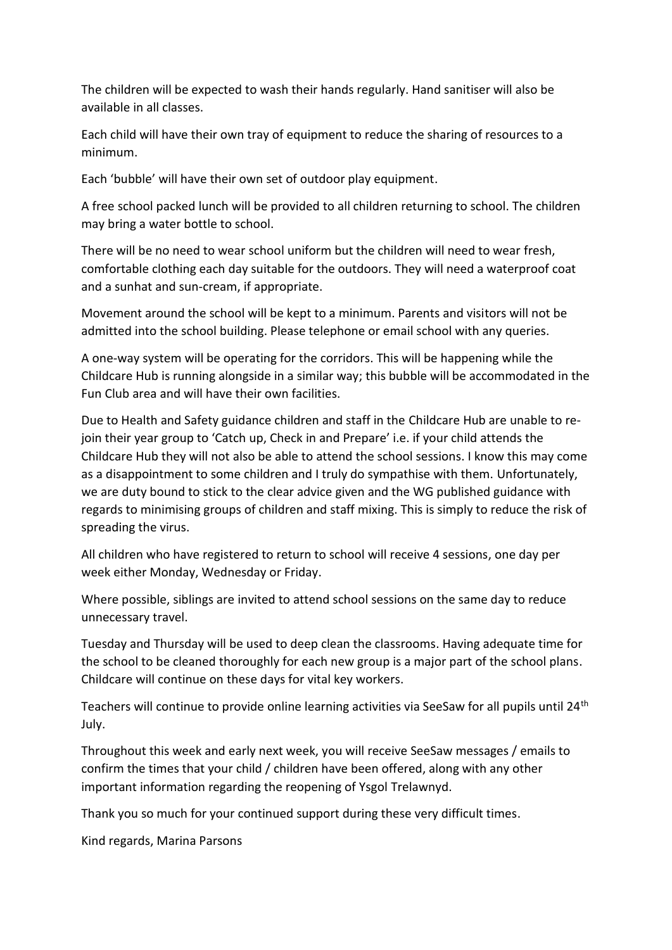The children will be expected to wash their hands regularly. Hand sanitiser will also be available in all classes.

Each child will have their own tray of equipment to reduce the sharing of resources to a minimum.

Each 'bubble' will have their own set of outdoor play equipment.

A free school packed lunch will be provided to all children returning to school. The children may bring a water bottle to school.

There will be no need to wear school uniform but the children will need to wear fresh, comfortable clothing each day suitable for the outdoors. They will need a waterproof coat and a sunhat and sun-cream, if appropriate.

Movement around the school will be kept to a minimum. Parents and visitors will not be admitted into the school building. Please telephone or email school with any queries.

A one-way system will be operating for the corridors. This will be happening while the Childcare Hub is running alongside in a similar way; this bubble will be accommodated in the Fun Club area and will have their own facilities.

Due to Health and Safety guidance children and staff in the Childcare Hub are unable to rejoin their year group to 'Catch up, Check in and Prepare' i.e. if your child attends the Childcare Hub they will not also be able to attend the school sessions. I know this may come as a disappointment to some children and I truly do sympathise with them. Unfortunately, we are duty bound to stick to the clear advice given and the WG published guidance with regards to minimising groups of children and staff mixing. This is simply to reduce the risk of spreading the virus.

All children who have registered to return to school will receive 4 sessions, one day per week either Monday, Wednesday or Friday.

Where possible, siblings are invited to attend school sessions on the same day to reduce unnecessary travel.

Tuesday and Thursday will be used to deep clean the classrooms. Having adequate time for the school to be cleaned thoroughly for each new group is a major part of the school plans. Childcare will continue on these days for vital key workers.

Teachers will continue to provide online learning activities via SeeSaw for all pupils until 24<sup>th</sup> July.

Throughout this week and early next week, you will receive SeeSaw messages / emails to confirm the times that your child / children have been offered, along with any other important information regarding the reopening of Ysgol Trelawnyd.

Thank you so much for your continued support during these very difficult times.

Kind regards, Marina Parsons